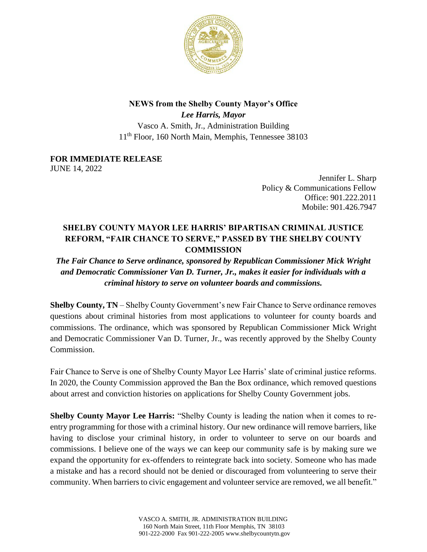

## **NEWS from the Shelby County Mayor's Office**

*Lee Harris, Mayor* Vasco A. Smith, Jr., Administration Building 11th Floor, 160 North Main, Memphis, Tennessee 38103

**FOR IMMEDIATE RELEASE** JUNE 14, 2022

> Jennifer L. Sharp Policy & Communications Fellow Office: 901.222.2011 Mobile: 901.426.7947

## **SHELBY COUNTY MAYOR LEE HARRIS' BIPARTISAN CRIMINAL JUSTICE REFORM, "FAIR CHANCE TO SERVE," PASSED BY THE SHELBY COUNTY COMMISSION**

*The Fair Chance to Serve ordinance, sponsored by Republican Commissioner Mick Wright and Democratic Commissioner Van D. Turner, Jr., makes it easier for individuals with a criminal history to serve on volunteer boards and commissions.*

**Shelby County, TN** – Shelby County Government's new Fair Chance to Serve ordinance removes questions about criminal histories from most applications to volunteer for county boards and commissions. The ordinance, which was sponsored by Republican Commissioner Mick Wright and Democratic Commissioner Van D. Turner, Jr., was recently approved by the Shelby County Commission.

Fair Chance to Serve is one of Shelby County Mayor Lee Harris' slate of criminal justice reforms. In 2020, the County Commission approved the Ban the Box ordinance, which removed questions about arrest and conviction histories on applications for Shelby County Government jobs.

**Shelby County Mayor Lee Harris:** "Shelby County is leading the nation when it comes to reentry programming for those with a criminal history. Our new ordinance will remove barriers, like having to disclose your criminal history, in order to volunteer to serve on our boards and commissions. I believe one of the ways we can keep our community safe is by making sure we expand the opportunity for ex-offenders to reintegrate back into society. Someone who has made a mistake and has a record should not be denied or discouraged from volunteering to serve their community. When barriers to civic engagement and volunteer service are removed, we all benefit."